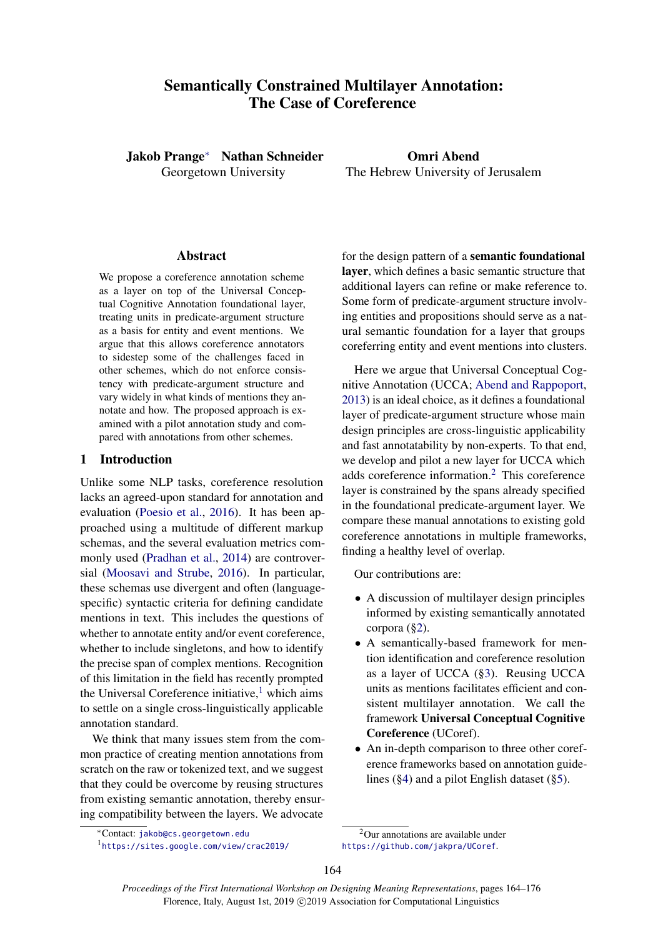# <span id="page-0-1"></span>Semantically Constrained Multilayer Annotation: The Case of Coreference

Jakob Prange<sup>∗</sup> Nathan Schneider Georgetown University

Omri Abend The Hebrew University of Jerusalem

## Abstract

We propose a coreference annotation scheme as a layer on top of the Universal Conceptual Cognitive Annotation foundational layer, treating units in predicate-argument structure as a basis for entity and event mentions. We argue that this allows coreference annotators to sidestep some of the challenges faced in other schemes, which do not enforce consistency with predicate-argument structure and vary widely in what kinds of mentions they annotate and how. The proposed approach is examined with a pilot annotation study and compared with annotations from other schemes.

# 1 Introduction

Unlike some NLP tasks, coreference resolution lacks an agreed-upon standard for annotation and evaluation [\(Poesio et al.,](#page-9-0) [2016\)](#page-9-0). It has been approached using a multitude of different markup schemas, and the several evaluation metrics commonly used [\(Pradhan et al.,](#page-9-1) [2014\)](#page-9-1) are controversial [\(Moosavi and Strube,](#page-9-2) [2016\)](#page-9-2). In particular, these schemas use divergent and often (languagespecific) syntactic criteria for defining candidate mentions in text. This includes the questions of whether to annotate entity and/or event coreference, whether to include singletons, and how to identify the precise span of complex mentions. Recognition of this limitation in the field has recently prompted the Universal Coreference initiative, $\frac{1}{1}$  which aims to settle on a single cross-linguistically applicable annotation standard.

We think that many issues stem from the common practice of creating mention annotations from scratch on the raw or tokenized text, and we suggest that they could be overcome by reusing structures from existing semantic annotation, thereby ensuring compatibility between the layers. We advocate

for the design pattern of a semantic foundational layer, which defines a basic semantic structure that additional layers can refine or make reference to. Some form of predicate-argument structure involving entities and propositions should serve as a natural semantic foundation for a layer that groups coreferring entity and event mentions into clusters.

Here we argue that Universal Conceptual Cognitive Annotation (UCCA; [Abend and Rappoport,](#page-8-0) [2013\)](#page-8-0) is an ideal choice, as it defines a foundational layer of predicate-argument structure whose main design principles are cross-linguistic applicability and fast annotatability by non-experts. To that end, we develop and pilot a new layer for UCCA which adds coreference information.<sup>2</sup> This coreference layer is constrained by the spans already specified in the foundational predicate-argument layer. We compare these manual annotations to existing gold coreference annotations in multiple frameworks, finding a healthy level of overlap.

Our contributions are:

- A discussion of multilayer design principles informed by existing semantically annotated corpora ([§2\)](#page-0-0).
- A semantically-based framework for mention identification and coreference resolution as a layer of UCCA ([§3\)](#page-3-0). Reusing UCCA units as mentions facilitates efficient and consistent multilayer annotation. We call the framework Universal Conceptual Cognitive Coreference (UCoref).
- An in-depth comparison to three other coreference frameworks based on annotation guidelines ([§4\)](#page-4-0) and a pilot English dataset ([§5\)](#page-5-0).

<sup>∗</sup>Contact: <jakob@cs.georgetown.edu>

<sup>1</sup> <https://sites.google.com/view/crac2019/>

<span id="page-0-0"></span><sup>&</sup>lt;sup>2</sup>Our annotations are available under <https://github.com/jakpra/UCoref>.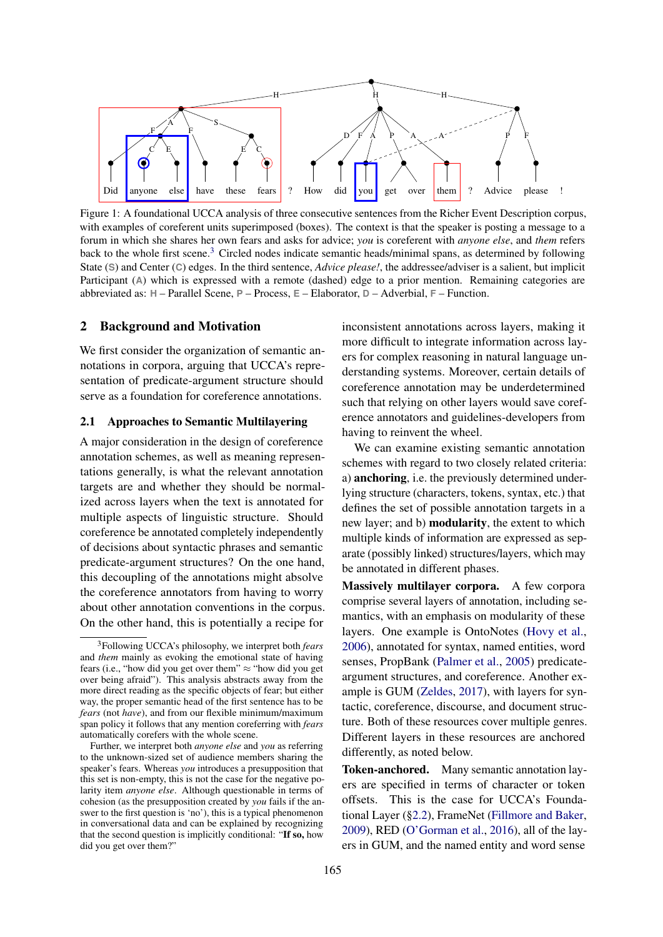<span id="page-1-0"></span>

Figure 1: A foundational UCCA analysis of three consecutive sentences from the Richer Event Description corpus, with examples of coreferent units superimposed (boxes). The context is that the speaker is posting a message to a forum in which she shares her own fears and asks for advice; *you* is coreferent with *anyone else*, and *them* refers back to the whole first scene.[3](#page-0-1) Circled nodes indicate semantic heads/minimal spans, as determined by following State (**S**) and Center (**C**) edges. In the third sentence, *Advice please!*, the addressee/adviser is a salient, but implicit Participant (A) which is expressed with a remote (dashed) edge to a prior mention. Remaining categories are abbreviated as: **H** – Parallel Scene, **P** – Process, **E** – Elaborator, **D** – Adverbial, **F** – Function.

#### 2 Background and Motivation

We first consider the organization of semantic annotations in corpora, arguing that UCCA's representation of predicate-argument structure should serve as a foundation for coreference annotations.

## <span id="page-1-1"></span>2.1 Approaches to Semantic Multilayering

A major consideration in the design of coreference annotation schemes, as well as meaning representations generally, is what the relevant annotation targets are and whether they should be normalized across layers when the text is annotated for multiple aspects of linguistic structure. Should coreference be annotated completely independently of decisions about syntactic phrases and semantic predicate-argument structures? On the one hand, this decoupling of the annotations might absolve the coreference annotators from having to worry about other annotation conventions in the corpus. On the other hand, this is potentially a recipe for

inconsistent annotations across layers, making it more difficult to integrate information across layers for complex reasoning in natural language understanding systems. Moreover, certain details of coreference annotation may be underdetermined such that relying on other layers would save coreference annotators and guidelines-developers from having to reinvent the wheel.

We can examine existing semantic annotation schemes with regard to two closely related criteria: a) anchoring, i.e. the previously determined underlying structure (characters, tokens, syntax, etc.) that defines the set of possible annotation targets in a new layer; and b) modularity, the extent to which multiple kinds of information are expressed as separate (possibly linked) structures/layers, which may be annotated in different phases.

Massively multilayer corpora. A few corpora comprise several layers of annotation, including semantics, with an emphasis on modularity of these layers. One example is OntoNotes [\(Hovy et al.,](#page-8-1) [2006\)](#page-8-1), annotated for syntax, named entities, word senses, PropBank [\(Palmer et al.,](#page-9-3) [2005\)](#page-9-3) predicateargument structures, and coreference. Another example is GUM [\(Zeldes,](#page-9-4) [2017\)](#page-9-4), with layers for syntactic, coreference, discourse, and document structure. Both of these resources cover multiple genres. Different layers in these resources are anchored differently, as noted below.

Token-anchored. Many semantic annotation layers are specified in terms of character or token offsets. This is the case for UCCA's Foundational Layer ([§2.2\)](#page-2-0), FrameNet [\(Fillmore and Baker,](#page-8-2) [2009\)](#page-8-2), RED [\(O'Gorman et al.,](#page-9-5) [2016\)](#page-9-5), all of the layers in GUM, and the named entity and word sense

<sup>3</sup>Following UCCA's philosophy, we interpret both *fears* and *them* mainly as evoking the emotional state of having fears (i.e., "how did you get over them"  $\approx$  "how did you get over being afraid"). This analysis abstracts away from the more direct reading as the specific objects of fear; but either way, the proper semantic head of the first sentence has to be *fears* (not *have*), and from our flexible minimum/maximum span policy it follows that any mention coreferring with *fears* automatically corefers with the whole scene.

Further, we interpret both *anyone else* and *you* as referring to the unknown-sized set of audience members sharing the speaker's fears. Whereas *you* introduces a presupposition that this set is non-empty, this is not the case for the negative polarity item *anyone else*. Although questionable in terms of cohesion (as the presupposition created by *you* fails if the answer to the first question is 'no'), this is a typical phenomenon in conversational data and can be explained by recognizing that the second question is implicitly conditional: "If so, how did you get over them?"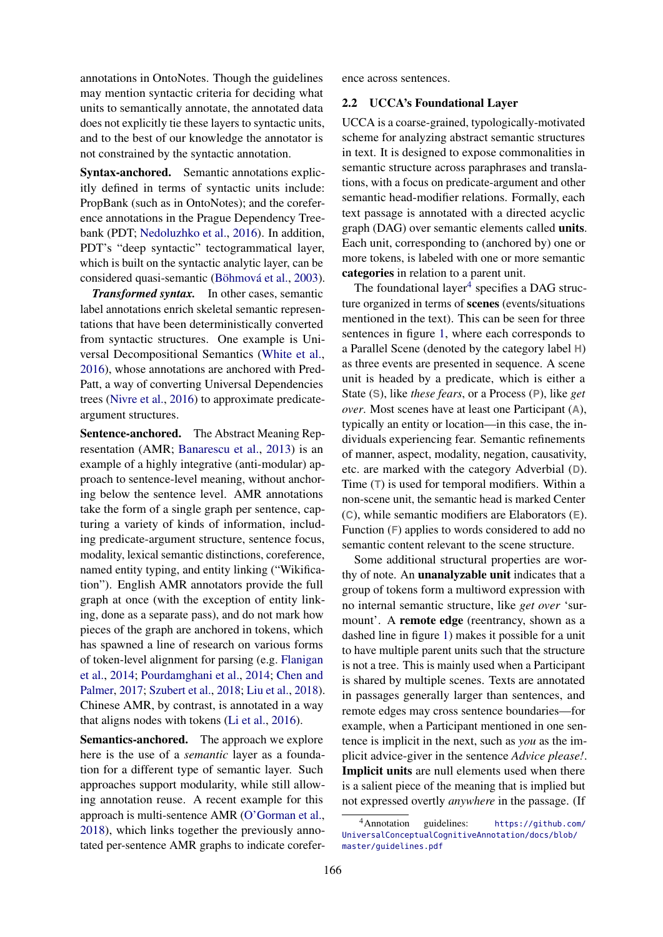annotations in OntoNotes. Though the guidelines may mention syntactic criteria for deciding what units to semantically annotate, the annotated data does not explicitly tie these layers to syntactic units, and to the best of our knowledge the annotator is not constrained by the syntactic annotation.

Syntax-anchored. Semantic annotations explicitly defined in terms of syntactic units include: PropBank (such as in OntoNotes); and the coreference annotations in the Prague Dependency Treebank (PDT; [Nedoluzhko et al.,](#page-9-6) [2016\)](#page-9-6). In addition, PDT's "deep syntactic" tectogrammatical layer, which is built on the syntactic analytic layer, can be considered quasi-semantic [\(Böhmová et al.,](#page-8-3) [2003\)](#page-8-3).

*Transformed syntax.* In other cases, semantic label annotations enrich skeletal semantic representations that have been deterministically converted from syntactic structures. One example is Universal Decompositional Semantics [\(White et al.,](#page-9-7) [2016\)](#page-9-7), whose annotations are anchored with Pred-Patt, a way of converting Universal Dependencies trees [\(Nivre et al.,](#page-9-8) [2016\)](#page-9-8) to approximate predicateargument structures.

Sentence-anchored. The Abstract Meaning Representation (AMR; [Banarescu et al.,](#page-8-4) [2013\)](#page-8-4) is an example of a highly integrative (anti-modular) approach to sentence-level meaning, without anchoring below the sentence level. AMR annotations take the form of a single graph per sentence, capturing a variety of kinds of information, including predicate-argument structure, sentence focus, modality, lexical semantic distinctions, coreference, named entity typing, and entity linking ("Wikification"). English AMR annotators provide the full graph at once (with the exception of entity linking, done as a separate pass), and do not mark how pieces of the graph are anchored in tokens, which has spawned a line of research on various forms of token-level alignment for parsing (e.g. [Flanigan](#page-8-5) [et al.,](#page-8-5) [2014;](#page-8-5) [Pourdamghani et al.,](#page-9-9) [2014;](#page-9-9) [Chen and](#page-8-6) [Palmer,](#page-8-6) [2017;](#page-8-6) [Szubert et al.,](#page-9-10) [2018;](#page-9-10) [Liu et al.,](#page-9-11) [2018\)](#page-9-11). Chinese AMR, by contrast, is annotated in a way that aligns nodes with tokens [\(Li et al.,](#page-8-7) [2016\)](#page-8-7).

Semantics-anchored. The approach we explore here is the use of a *semantic* layer as a foundation for a different type of semantic layer. Such approaches support modularity, while still allowing annotation reuse. A recent example for this approach is multi-sentence AMR [\(O'Gorman et al.,](#page-9-12) [2018\)](#page-9-12), which links together the previously annotated per-sentence AMR graphs to indicate corefer<span id="page-2-0"></span>ence across sentences.

### 2.2 UCCA's Foundational Layer

UCCA is a coarse-grained, typologically-motivated scheme for analyzing abstract semantic structures in text. It is designed to expose commonalities in semantic structure across paraphrases and translations, with a focus on predicate-argument and other semantic head-modifier relations. Formally, each text passage is annotated with a directed acyclic graph (DAG) over semantic elements called units. Each unit, corresponding to (anchored by) one or more tokens, is labeled with one or more semantic categories in relation to a parent unit.

The foundational layer $<sup>4</sup>$  $<sup>4</sup>$  $<sup>4</sup>$  specifies a DAG struc-</sup> ture organized in terms of scenes (events/situations mentioned in the text). This can be seen for three sentences in figure [1,](#page-1-0) where each corresponds to a Parallel Scene (denoted by the category label **H**) as three events are presented in sequence. A scene unit is headed by a predicate, which is either a State (**S**), like *these fears*, or a Process (**P**), like *get over*. Most scenes have at least one Participant (**A**), typically an entity or location—in this case, the individuals experiencing fear. Semantic refinements of manner, aspect, modality, negation, causativity, etc. are marked with the category Adverbial (**D**). Time (**T**) is used for temporal modifiers. Within a non-scene unit, the semantic head is marked Center (**C**), while semantic modifiers are Elaborators (**E**). Function (**F**) applies to words considered to add no semantic content relevant to the scene structure.

Some additional structural properties are worthy of note. An unanalyzable unit indicates that a group of tokens form a multiword expression with no internal semantic structure, like *get over* 'surmount'. A remote edge (reentrancy, shown as a dashed line in figure [1\)](#page-1-0) makes it possible for a unit to have multiple parent units such that the structure is not a tree. This is mainly used when a Participant is shared by multiple scenes. Texts are annotated in passages generally larger than sentences, and remote edges may cross sentence boundaries—for example, when a Participant mentioned in one sentence is implicit in the next, such as *you* as the implicit advice-giver in the sentence *Advice please!*. Implicit units are null elements used when there is a salient piece of the meaning that is implied but not expressed overtly *anywhere* in the passage. (If

<sup>4</sup>Annotation guidelines: [https://github.com/](https://github.com/UniversalConceptualCognitiveAnnotation/docs/blob/master/guidelines.pdf) [UniversalConceptualCognitiveAnnotation/docs/blob/](https://github.com/UniversalConceptualCognitiveAnnotation/docs/blob/master/guidelines.pdf) [master/guidelines.pdf](https://github.com/UniversalConceptualCognitiveAnnotation/docs/blob/master/guidelines.pdf)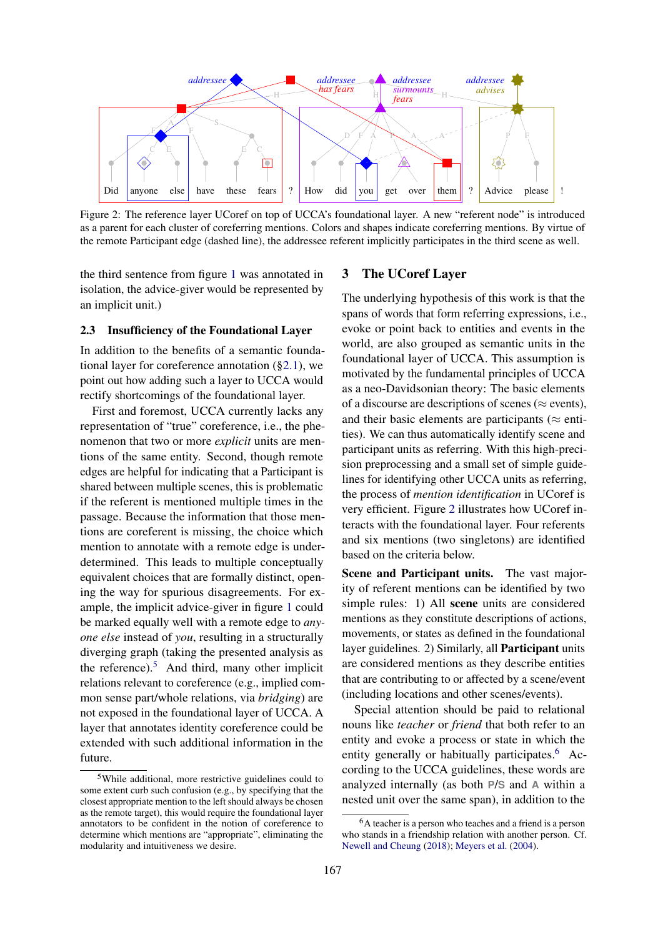<span id="page-3-1"></span>

Figure 2: The reference layer UCoref on top of UCCA's foundational layer. A new "referent node" is introduced as a parent for each cluster of coreferring mentions. Colors and shapes indicate coreferring mentions. By virtue of the remote Participant edge (dashed line), the addressee referent implicitly participates in the third scene as well.

the third sentence from figure [1](#page-1-0) was annotated in isolation, the advice-giver would be represented by an implicit unit.)

#### <span id="page-3-2"></span>2.3 Insufficiency of the Foundational Layer

In addition to the benefits of a semantic foundational layer for coreference annotation ([§2.1\)](#page-1-1), we point out how adding such a layer to UCCA would rectify shortcomings of the foundational layer.

First and foremost, UCCA currently lacks any representation of "true" coreference, i.e., the phenomenon that two or more *explicit* units are mentions of the same entity. Second, though remote edges are helpful for indicating that a Participant is shared between multiple scenes, this is problematic if the referent is mentioned multiple times in the passage. Because the information that those mentions are coreferent is missing, the choice which mention to annotate with a remote edge is underdetermined. This leads to multiple conceptually equivalent choices that are formally distinct, opening the way for spurious disagreements. For example, the implicit advice-giver in figure [1](#page-1-0) could be marked equally well with a remote edge to *anyone else* instead of *you*, resulting in a structurally diverging graph (taking the presented analysis as the reference). $5$  And third, many other implicit relations relevant to coreference (e.g., implied common sense part/whole relations, via *bridging*) are not exposed in the foundational layer of UCCA. A layer that annotates identity coreference could be extended with such additional information in the future.

## 3 The UCoref Layer

The underlying hypothesis of this work is that the spans of words that form referring expressions, i.e., evoke or point back to entities and events in the world, are also grouped as semantic units in the foundational layer of UCCA. This assumption is motivated by the fundamental principles of UCCA as a neo-Davidsonian theory: The basic elements of a discourse are descriptions of scenes ( $\approx$  events), and their basic elements are participants ( $\approx$  entities). We can thus automatically identify scene and participant units as referring. With this high-precision preprocessing and a small set of simple guidelines for identifying other UCCA units as referring, the process of *mention identification* in UCoref is very efficient. Figure [2](#page-3-1) illustrates how UCoref interacts with the foundational layer. Four referents and six mentions (two singletons) are identified based on the criteria below.

Scene and Participant units. The vast majority of referent mentions can be identified by two simple rules: 1) All scene units are considered mentions as they constitute descriptions of actions, movements, or states as defined in the foundational layer guidelines. 2) Similarly, all Participant units are considered mentions as they describe entities that are contributing to or affected by a scene/event (including locations and other scenes/events).

Special attention should be paid to relational nouns like *teacher* or *friend* that both refer to an entity and evoke a process or state in which the entity generally or habitually participates.<sup>[6](#page-0-1)</sup> According to the UCCA guidelines, these words are analyzed internally (as both **P**/**S** and **A** within a nested unit over the same span), in addition to the

<span id="page-3-0"></span><sup>5</sup>While additional, more restrictive guidelines could to some extent curb such confusion (e.g., by specifying that the closest appropriate mention to the left should always be chosen as the remote target), this would require the foundational layer annotators to be confident in the notion of coreference to determine which mentions are "appropriate", eliminating the modularity and intuitiveness we desire.

<sup>6</sup>A teacher is a person who teaches and a friend is a person who stands in a friendship relation with another person. Cf. [Newell and Cheung](#page-9-13) [\(2018\)](#page-9-13); [Meyers et al.](#page-9-14) [\(2004\)](#page-9-14).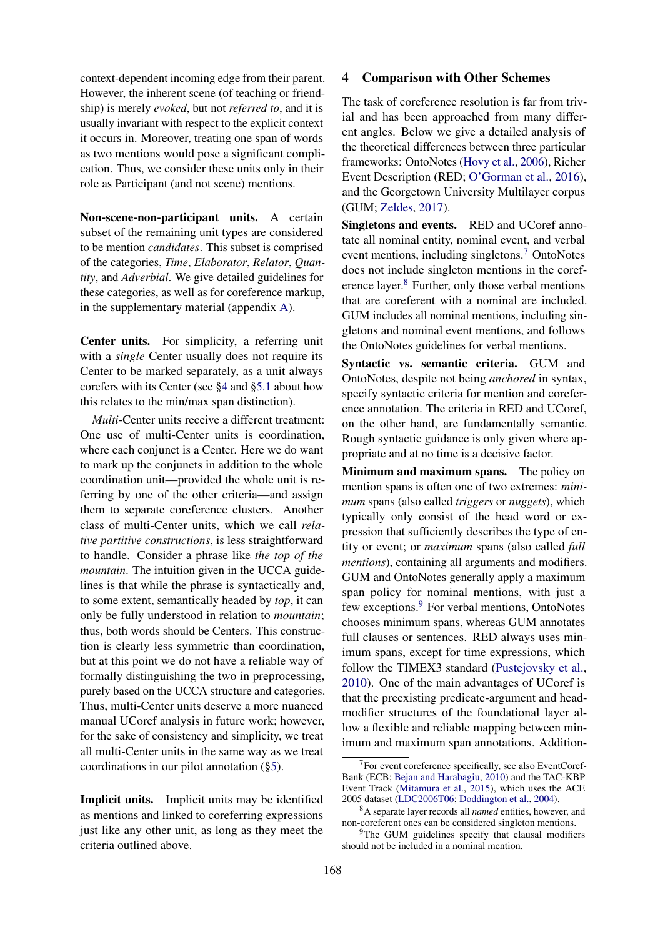context-dependent incoming edge from their parent. However, the inherent scene (of teaching or friendship) is merely *evoked*, but not *referred to*, and it is usually invariant with respect to the explicit context it occurs in. Moreover, treating one span of words as two mentions would pose a significant complication. Thus, we consider these units only in their role as Participant (and not scene) mentions.

Non-scene-non-participant units. A certain subset of the remaining unit types are considered to be mention *candidates*. This subset is comprised of the categories, *Time*, *Elaborator*, *Relator*, *Quantity*, and *Adverbial*. We give detailed guidelines for these categories, as well as for coreference markup, in the supplementary material (appendix [A\)](#page-10-0).

Center units. For simplicity, a referring unit with a *single* Center usually does not require its Center to be marked separately, as a unit always corefers with its Center (see [§4](#page-4-0) and [§5.1](#page-6-0) about how this relates to the min/max span distinction).

*Multi*-Center units receive a different treatment: One use of multi-Center units is coordination, where each conjunct is a Center. Here we do want to mark up the conjuncts in addition to the whole coordination unit—provided the whole unit is referring by one of the other criteria—and assign them to separate coreference clusters. Another class of multi-Center units, which we call *relative partitive constructions*, is less straightforward to handle. Consider a phrase like *the top of the mountain*. The intuition given in the UCCA guidelines is that while the phrase is syntactically and, to some extent, semantically headed by *top*, it can only be fully understood in relation to *mountain*; thus, both words should be Centers. This construction is clearly less symmetric than coordination, but at this point we do not have a reliable way of formally distinguishing the two in preprocessing, purely based on the UCCA structure and categories. Thus, multi-Center units deserve a more nuanced manual UCoref analysis in future work; however, for the sake of consistency and simplicity, we treat all multi-Center units in the same way as we treat coordinations in our pilot annotation ([§5\)](#page-5-0).

<span id="page-4-0"></span>Implicit units. Implicit units may be identified as mentions and linked to coreferring expressions just like any other unit, as long as they meet the criteria outlined above.

## 4 Comparison with Other Schemes

The task of coreference resolution is far from trivial and has been approached from many different angles. Below we give a detailed analysis of the theoretical differences between three particular frameworks: OntoNotes [\(Hovy et al.,](#page-8-1) [2006\)](#page-8-1), Richer Event Description (RED; [O'Gorman et al.,](#page-9-5) [2016\)](#page-9-5), and the Georgetown University Multilayer corpus (GUM; [Zeldes,](#page-9-4) [2017\)](#page-9-4).

Singletons and events. RED and UCoref annotate all nominal entity, nominal event, and verbal event mentions, including singletons.[7](#page-0-1) OntoNotes does not include singleton mentions in the coref-erence layer.<sup>[8](#page-0-1)</sup> Further, only those verbal mentions that are coreferent with a nominal are included. GUM includes all nominal mentions, including singletons and nominal event mentions, and follows the OntoNotes guidelines for verbal mentions.

Syntactic vs. semantic criteria. GUM and OntoNotes, despite not being *anchored* in syntax, specify syntactic criteria for mention and coreference annotation. The criteria in RED and UCoref, on the other hand, are fundamentally semantic. Rough syntactic guidance is only given where appropriate and at no time is a decisive factor.

Minimum and maximum spans. The policy on mention spans is often one of two extremes: *minimum* spans (also called *triggers* or *nuggets*), which typically only consist of the head word or expression that sufficiently describes the type of entity or event; or *maximum* spans (also called *full mentions*), containing all arguments and modifiers. GUM and OntoNotes generally apply a maximum span policy for nominal mentions, with just a few exceptions.<sup>[9](#page-0-1)</sup> For verbal mentions, OntoNotes chooses minimum spans, whereas GUM annotates full clauses or sentences. RED always uses minimum spans, except for time expressions, which follow the TIMEX3 standard [\(Pustejovsky et al.,](#page-9-15) [2010\)](#page-9-15). One of the main advantages of UCoref is that the preexisting predicate-argument and headmodifier structures of the foundational layer allow a flexible and reliable mapping between minimum and maximum span annotations. Addition-

<sup>&</sup>lt;sup>7</sup>For event coreference specifically, see also EventCoref-Bank (ECB; [Bejan and Harabagiu,](#page-8-8) [2010\)](#page-8-8) and the TAC-KBP Event Track [\(Mitamura et al.,](#page-9-16) [2015\)](#page-9-16), which uses the ACE 2005 dataset [\(LDC2006T06;](https://catalog.ldc.upenn.edu/LDC2006T06) [Doddington et al.,](#page-8-9) [2004\)](#page-8-9).

<sup>8</sup>A separate layer records all *named* entities, however, and non-coreferent ones can be considered singleton mentions.

 $9$ The GUM guidelines specify that clausal modifiers should not be included in a nominal mention.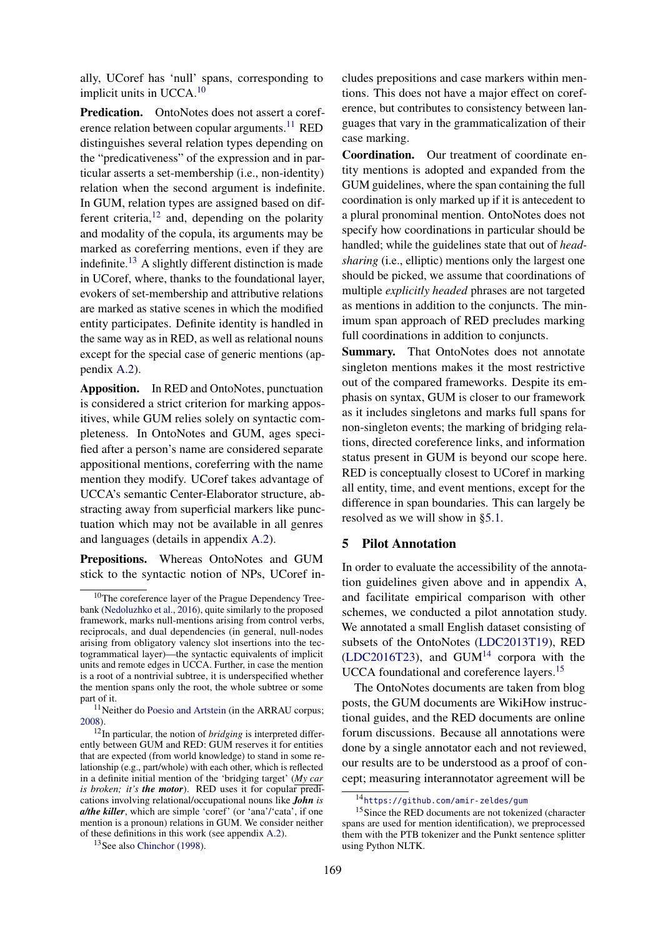ally, UCoref has 'null' spans, corresponding to implicit units in UCCA.[10](#page-0-1)

Predication. OntoNotes does not assert a coref-erence relation between copular arguments.<sup>[11](#page-0-1)</sup> RED distinguishes several relation types depending on the "predicativeness" of the expression and in particular asserts a set-membership (i.e., non-identity) relation when the second argument is indefinite. In GUM, relation types are assigned based on different criteria, $^{12}$  $^{12}$  $^{12}$  and, depending on the polarity and modality of the copula, its arguments may be marked as coreferring mentions, even if they are indefinite.<sup>[13](#page-0-1)</sup> A slightly different distinction is made in UCoref, where, thanks to the foundational layer, evokers of set-membership and attributive relations are marked as stative scenes in which the modified entity participates. Definite identity is handled in the same way as in RED, as well as relational nouns except for the special case of generic mentions (appendix [A.2\)](#page-11-0).

Apposition. In RED and OntoNotes, punctuation is considered a strict criterion for marking appositives, while GUM relies solely on syntactic completeness. In OntoNotes and GUM, ages specified after a person's name are considered separate appositional mentions, coreferring with the name mention they modify. UCoref takes advantage of UCCA's semantic Center-Elaborator structure, abstracting away from superficial markers like punctuation which may not be available in all genres and languages (details in appendix [A.2\)](#page-11-0).

Prepositions. Whereas OntoNotes and GUM stick to the syntactic notion of NPs, UCoref in-

cludes prepositions and case markers within mentions. This does not have a major effect on coreference, but contributes to consistency between languages that vary in the grammaticalization of their case marking.

Coordination. Our treatment of coordinate entity mentions is adopted and expanded from the GUM guidelines, where the span containing the full coordination is only marked up if it is antecedent to a plural pronominal mention. OntoNotes does not specify how coordinations in particular should be handled; while the guidelines state that out of *headsharing* (i.e., elliptic) mentions only the largest one should be picked, we assume that coordinations of multiple *explicitly headed* phrases are not targeted as mentions in addition to the conjuncts. The minimum span approach of RED precludes marking full coordinations in addition to conjuncts.

Summary. That OntoNotes does not annotate singleton mentions makes it the most restrictive out of the compared frameworks. Despite its emphasis on syntax, GUM is closer to our framework as it includes singletons and marks full spans for non-singleton events; the marking of bridging relations, directed coreference links, and information status present in GUM is beyond our scope here. RED is conceptually closest to UCoref in marking all entity, time, and event mentions, except for the difference in span boundaries. This can largely be resolved as we will show in [§5.1.](#page-6-0)

# <span id="page-5-0"></span>5 Pilot Annotation

In order to evaluate the accessibility of the annotation guidelines given above and in appendix [A,](#page-10-0) and facilitate empirical comparison with other schemes, we conducted a pilot annotation study. We annotated a small English dataset consisting of subsets of the OntoNotes [\(LDC2013T19\)](https://catalog.ldc.upenn.edu/LDC2013T19), RED [\(LDC2016T23\)](https://catalog.ldc.upenn.edu/LDC2016T23), and  $GUM<sup>14</sup>$  $GUM<sup>14</sup>$  $GUM<sup>14</sup>$  corpora with the UCCA foundational and coreference layers.<sup>[15](#page-0-1)</sup>

The OntoNotes documents are taken from blog posts, the GUM documents are WikiHow instructional guides, and the RED documents are online forum discussions. Because all annotations were done by a single annotator each and not reviewed, our results are to be understood as a proof of concept; measuring interannotator agreement will be

<sup>&</sup>lt;sup>10</sup>The coreference layer of the Prague Dependency Treebank [\(Nedoluzhko et al.,](#page-9-6) [2016\)](#page-9-6), quite similarly to the proposed framework, marks null-mentions arising from control verbs, reciprocals, and dual dependencies (in general, null-nodes arising from obligatory valency slot insertions into the tectogrammatical layer)—the syntactic equivalents of implicit units and remote edges in UCCA. Further, in case the mention is a root of a nontrivial subtree, it is underspecified whether the mention spans only the root, the whole subtree or some part of it.

<sup>&</sup>lt;sup>11</sup>Neither do [Poesio and Artstein](#page-9-17) (in the ARRAU corpus; [2008\)](#page-9-17).

 $12$ In particular, the notion of *bridging* is interpreted differently between GUM and RED: GUM reserves it for entities that are expected (from world knowledge) to stand in some relationship (e.g., part/whole) with each other, which is reflected in a definite initial mention of the 'bridging target' (*My car is broken; it's the motor*). RED uses it for copular predications involving relational/occupational nouns like *John is a/the killer*, which are simple 'coref' (or 'ana'/'cata', if one mention is a pronoun) relations in GUM. We consider neither of these definitions in this work (see appendix [A.2\)](#page-11-0).

<sup>13</sup>See also [Chinchor](#page-8-10) [\(1998\)](#page-8-10).

<sup>14</sup><https://github.com/amir-zeldes/gum>

<sup>&</sup>lt;sup>15</sup>Since the RED documents are not tokenized (character spans are used for mention identification), we preprocessed them with the PTB tokenizer and the Punkt sentence splitter using Python NLTK.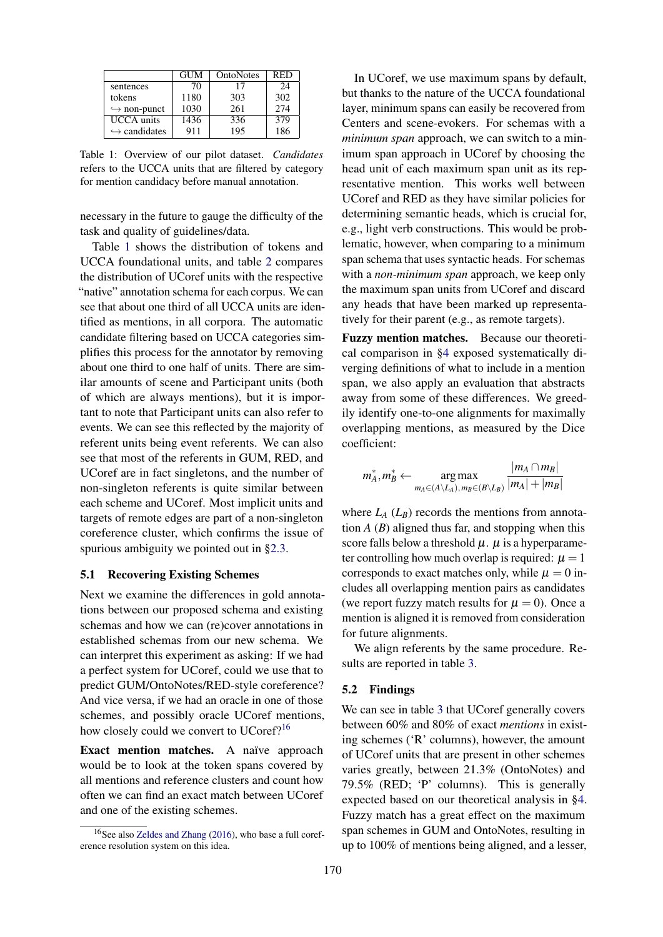<span id="page-6-1"></span>

|                              | <b>GUM</b> | OntoNotes | RED  |
|------------------------------|------------|-----------|------|
| sentences                    | 70         | 17        | 24   |
| tokens                       | 1180       | 303       | 302  |
| $\hookrightarrow$ non-punct  | 1030       | 261       | 2.74 |
| <b>UCCA</b> units            | 1436       | 336       | 379  |
| $\hookrightarrow$ candidates | 911        | 195       | 186  |

Table 1: Overview of our pilot dataset. *Candidates* refers to the UCCA units that are filtered by category for mention candidacy before manual annotation.

necessary in the future to gauge the difficulty of the task and quality of guidelines/data.

Table [1](#page-6-1) shows the distribution of tokens and UCCA foundational units, and table [2](#page-7-0) compares the distribution of UCoref units with the respective "native" annotation schema for each corpus. We can see that about one third of all UCCA units are identified as mentions, in all corpora. The automatic candidate filtering based on UCCA categories simplifies this process for the annotator by removing about one third to one half of units. There are similar amounts of scene and Participant units (both of which are always mentions), but it is important to note that Participant units can also refer to events. We can see this reflected by the majority of referent units being event referents. We can also see that most of the referents in GUM, RED, and UCoref are in fact singletons, and the number of non-singleton referents is quite similar between each scheme and UCoref. Most implicit units and targets of remote edges are part of a non-singleton coreference cluster, which confirms the issue of spurious ambiguity we pointed out in [§2.3.](#page-3-2)

#### <span id="page-6-0"></span>5.1 Recovering Existing Schemes

Next we examine the differences in gold annotations between our proposed schema and existing schemas and how we can (re)cover annotations in established schemas from our new schema. We can interpret this experiment as asking: If we had a perfect system for UCoref, could we use that to predict GUM/OntoNotes/RED-style coreference? And vice versa, if we had an oracle in one of those schemes, and possibly oracle UCoref mentions, how closely could we convert to UCoref?<sup>[16](#page-0-1)</sup>

Exact mention matches. A naïve approach would be to look at the token spans covered by all mentions and reference clusters and count how often we can find an exact match between UCoref and one of the existing schemes.

In UCoref, we use maximum spans by default, but thanks to the nature of the UCCA foundational layer, minimum spans can easily be recovered from Centers and scene-evokers. For schemas with a *minimum span* approach, we can switch to a minimum span approach in UCoref by choosing the head unit of each maximum span unit as its representative mention. This works well between UCoref and RED as they have similar policies for determining semantic heads, which is crucial for, e.g., light verb constructions. This would be problematic, however, when comparing to a minimum span schema that uses syntactic heads. For schemas with a *non-minimum span* approach, we keep only the maximum span units from UCoref and discard any heads that have been marked up representatively for their parent (e.g., as remote targets).

Fuzzy mention matches. Because our theoretical comparison in [§4](#page-4-0) exposed systematically diverging definitions of what to include in a mention span, we also apply an evaluation that abstracts away from some of these differences. We greedily identify one-to-one alignments for maximally overlapping mentions, as measured by the Dice coefficient:

$$
m_A^*, m_B^* \leftarrow \mathop{\arg\max}_{m_A \in (A \setminus L_A), m_B \in (B \setminus L_B)} \frac{|m_A \cap m_B|}{|m_A| + |m_B|}
$$

where  $L_A(L_B)$  records the mentions from annotation  $A(B)$  aligned thus far, and stopping when this score falls below a threshold  $\mu$ .  $\mu$  is a hyperparameter controlling how much overlap is required:  $\mu = 1$ corresponds to exact matches only, while  $\mu = 0$  includes all overlapping mention pairs as candidates (we report fuzzy match results for  $\mu = 0$ ). Once a mention is aligned it is removed from consideration for future alignments.

We align referents by the same procedure. Results are reported in table [3.](#page-7-1)

# 5.2 Findings

We can see in table [3](#page-7-1) that UCoref generally covers between 60% and 80% of exact *mentions* in existing schemes ('R' columns), however, the amount of UCoref units that are present in other schemes varies greatly, between 21.3% (OntoNotes) and 79.5% (RED; 'P' columns). This is generally expected based on our theoretical analysis in [§4.](#page-4-0) Fuzzy match has a great effect on the maximum span schemes in GUM and OntoNotes, resulting in up to 100% of mentions being aligned, and a lesser,

<sup>&</sup>lt;sup>16</sup>See also [Zeldes and Zhang](#page-9-18) [\(2016\)](#page-9-18), who base a full coreference resolution system on this idea.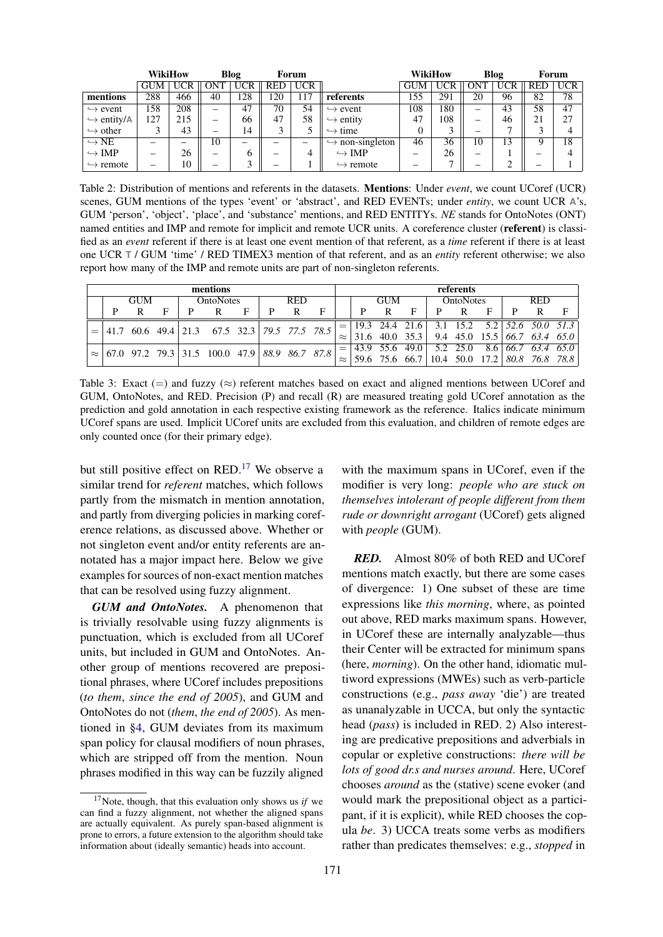<span id="page-7-0"></span>

|                            | <b>WikiHow</b><br>Blog   |            |            |            | Forum      |                          | <b>WikiHow</b>                  |            | Blog       |    |            | Forum      |            |  |
|----------------------------|--------------------------|------------|------------|------------|------------|--------------------------|---------------------------------|------------|------------|----|------------|------------|------------|--|
|                            | <b>GUM</b>               | <b>UCR</b> | <b>ONT</b> | <b>UCR</b> | <b>RED</b> | <b>UCR</b>               |                                 | <b>GUM</b> | <b>UCR</b> |    | <b>UCR</b> | <b>RED</b> | <b>UCR</b> |  |
| mentions                   | 288                      | 466        | 40         | 128        | .20        | 117                      | referents                       | 155        | 291        | 20 | 96         | 82         | 78         |  |
| $\hookrightarrow$ event    | 158                      | 208        | —          | 47         | 70         | 54                       | $\hookrightarrow$ event         | 108        | 180        |    | 43         | 58         | 47         |  |
| $\hookrightarrow$ entity/A | 127                      | 215        | —          | 66         | 47         | 58                       | $\hookrightarrow$ entity        | 47         | 108        | —  | 46         | 21         | 27         |  |
| $\hookrightarrow$ other    |                          | 43         | —          | 14         |            | J                        | $\hookrightarrow$ time          | 0          |            |    |            |            |            |  |
| $\hookrightarrow$ NE       |                          | —          | 10         | —          |            | $\overline{\phantom{0}}$ | $\hookrightarrow$ non-singleton | 46         | 36         | 10 | 13         | O          | 18         |  |
| $\hookrightarrow$ IMP      | $\overline{\phantom{0}}$ | 26         | -          |            | —          | 4                        | $\hookrightarrow$ IMP           | –          | 26         | —  |            | –          |            |  |
| $\hookrightarrow$ remote   | $\overline{\phantom{0}}$ | 10         | —          | $\sim$     |            |                          | $\hookrightarrow$ remote        |            | -          |    |            |            |            |  |

Table 2: Distribution of mentions and referents in the datasets. Mentions: Under *event*, we count UCoref (UCR) scenes, GUM mentions of the types 'event' or 'abstract', and RED EVENTs; under *entity*, we count UCR **A**'s, GUM 'person', 'object', 'place', and 'substance' mentions, and RED ENTITYs. *NE* stands for OntoNotes (ONT) named entities and IMP and remote for implicit and remote UCR units. A coreference cluster (**referent**) is classified as an *event* referent if there is at least one event mention of that referent, as a *time* referent if there is at least one UCR **T** / GUM 'time' / RED TIMEX3 mention of that referent, and as an *entity* referent otherwise; we also report how many of the IMP and remote units are part of non-singleton referents.

<span id="page-7-1"></span>

| mentions |                                                         |   |   |                  |                                                                                              |   |            |   |   | referents |            |              |   |                  |   |   |            |                                                      |  |
|----------|---------------------------------------------------------|---|---|------------------|----------------------------------------------------------------------------------------------|---|------------|---|---|-----------|------------|--------------|---|------------------|---|---|------------|------------------------------------------------------|--|
|          | <b>GUM</b>                                              |   |   | <b>OntoNotes</b> |                                                                                              |   | <b>RED</b> |   |   |           | <b>GUM</b> |              |   | <b>OntoNotes</b> |   |   | <b>RED</b> |                                                      |  |
|          |                                                         | R | F |                  |                                                                                              | F | D          | R | F |           |            | $\mathbf{R}$ | F | D.               | R | E | D          | R                                                    |  |
|          |                                                         |   |   |                  | $\begin{vmatrix} 41.7 & 60.6 & 49.4 & 21.3 & 67.5 & 32.3 & 79.5 & 77.5 & 78.5 \end{vmatrix}$ |   |            |   |   |           |            |              |   |                  |   |   |            | $=$   19.3 24.4 21.6   3.1 15.2 5.2   52.6 50.0 51.3 |  |
|          |                                                         |   |   |                  |                                                                                              |   |            |   |   |           |            |              |   |                  |   |   |            |                                                      |  |
|          | $\approx$ 67.0 97.2 79.3 31.5 100.0 47.9 88.9 86.7 87.8 |   |   |                  |                                                                                              |   |            |   |   |           |            |              |   |                  |   |   |            |                                                      |  |
|          |                                                         |   |   |                  |                                                                                              |   |            |   |   |           |            |              |   |                  |   |   |            | 59.6 75.6 66.7 10.4 50.0 17.2 80.8 76.8 78.8         |  |

Table 3: Exact  $(=)$  and fuzzy  $(\approx)$  referent matches based on exact and aligned mentions between UCoref and GUM, OntoNotes, and RED. Precision (P) and recall (R) are measured treating gold UCoref annotation as the prediction and gold annotation in each respective existing framework as the reference. Italics indicate minimum UCoref spans are used. Implicit UCoref units are excluded from this evaluation, and children of remote edges are only counted once (for their primary edge).

but still positive effect on RED.<sup>[17](#page-0-1)</sup> We observe a similar trend for *referent* matches, which follows partly from the mismatch in mention annotation, and partly from diverging policies in marking coreference relations, as discussed above. Whether or not singleton event and/or entity referents are annotated has a major impact here. Below we give examples for sources of non-exact mention matches that can be resolved using fuzzy alignment.

*GUM and OntoNotes.* A phenomenon that is trivially resolvable using fuzzy alignments is punctuation, which is excluded from all UCoref units, but included in GUM and OntoNotes. Another group of mentions recovered are prepositional phrases, where UCoref includes prepositions (*to them*, *since the end of 2005*), and GUM and OntoNotes do not (*them*, *the end of 2005*). As mentioned in [§4,](#page-4-0) GUM deviates from its maximum span policy for clausal modifiers of noun phrases, which are stripped off from the mention. Noun phrases modified in this way can be fuzzily aligned

with the maximum spans in UCoref, even if the modifier is very long: *people who are stuck on themselves intolerant of people different from them rude or downright arrogant* (UCoref) gets aligned with *people* (GUM).

*RED.* Almost 80% of both RED and UCoref mentions match exactly, but there are some cases of divergence: 1) One subset of these are time expressions like *this morning*, where, as pointed out above, RED marks maximum spans. However, in UCoref these are internally analyzable—thus their Center will be extracted for minimum spans (here, *morning*). On the other hand, idiomatic multiword expressions (MWEs) such as verb-particle constructions (e.g., *pass away* 'die') are treated as unanalyzable in UCCA, but only the syntactic head (*pass*) is included in RED. 2) Also interesting are predicative prepositions and adverbials in copular or expletive constructions: *there will be lots of good dr.s and nurses around*. Here, UCoref chooses *around* as the (stative) scene evoker (and would mark the prepositional object as a participant, if it is explicit), while RED chooses the copula *be*. 3) UCCA treats some verbs as modifiers rather than predicates themselves: e.g., *stopped* in

<sup>17</sup>Note, though, that this evaluation only shows us *if* we can find a fuzzy alignment, not whether the aligned spans are actually equivalent. As purely span-based alignment is prone to errors, a future extension to the algorithm should take information about (ideally semantic) heads into account.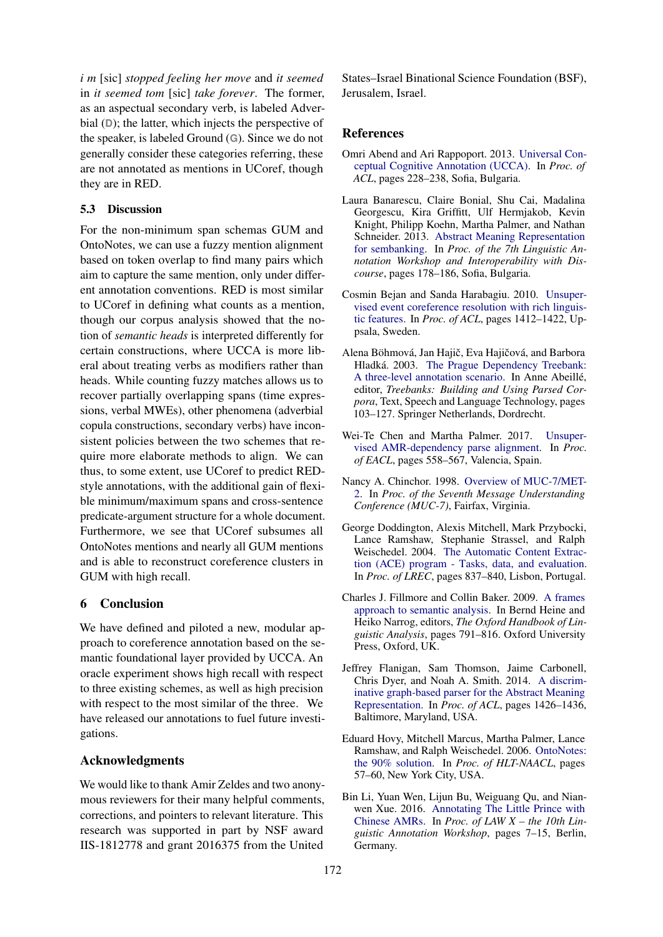*i m* [sic] *stopped feeling her move* and *it seemed* in *it seemed tom* [sic] *take forever*. The former, as an aspectual secondary verb, is labeled Adverbial (**D**); the latter, which injects the perspective of the speaker, is labeled Ground (**G**). Since we do not generally consider these categories referring, these are not annotated as mentions in UCoref, though they are in RED.

#### 5.3 Discussion

For the non-minimum span schemas GUM and OntoNotes, we can use a fuzzy mention alignment based on token overlap to find many pairs which aim to capture the same mention, only under different annotation conventions. RED is most similar to UCoref in defining what counts as a mention, though our corpus analysis showed that the notion of *semantic heads* is interpreted differently for certain constructions, where UCCA is more liberal about treating verbs as modifiers rather than heads. While counting fuzzy matches allows us to recover partially overlapping spans (time expressions, verbal MWEs), other phenomena (adverbial copula constructions, secondary verbs) have inconsistent policies between the two schemes that require more elaborate methods to align. We can thus, to some extent, use UCoref to predict REDstyle annotations, with the additional gain of flexible minimum/maximum spans and cross-sentence predicate-argument structure for a whole document. Furthermore, we see that UCoref subsumes all OntoNotes mentions and nearly all GUM mentions and is able to reconstruct coreference clusters in GUM with high recall.

# 6 Conclusion

We have defined and piloted a new, modular approach to coreference annotation based on the semantic foundational layer provided by UCCA. An oracle experiment shows high recall with respect to three existing schemes, as well as high precision with respect to the most similar of the three. We have released our annotations to fuel future investigations.

### Acknowledgments

We would like to thank Amir Zeldes and two anonymous reviewers for their many helpful comments, corrections, and pointers to relevant literature. This research was supported in part by NSF award IIS-1812778 and grant 2016375 from the United

States–Israel Binational Science Foundation (BSF), Jerusalem, Israel.

# References

- <span id="page-8-0"></span>Omri Abend and Ari Rappoport. 2013. [Universal Con](http://www.aclweb.org/anthology/P13-1023)[ceptual Cognitive Annotation \(UCCA\).](http://www.aclweb.org/anthology/P13-1023) In *Proc. of ACL*, pages 228–238, Sofia, Bulgaria.
- <span id="page-8-4"></span>Laura Banarescu, Claire Bonial, Shu Cai, Madalina Georgescu, Kira Griffitt, Ulf Hermjakob, Kevin Knight, Philipp Koehn, Martha Palmer, and Nathan Schneider. 2013. [Abstract Meaning Representation](http://www.aclweb.org/anthology/W13-2322) [for sembanking.](http://www.aclweb.org/anthology/W13-2322) In *Proc. of the 7th Linguistic Annotation Workshop and Interoperability with Discourse*, pages 178–186, Sofia, Bulgaria.
- <span id="page-8-8"></span>Cosmin Bejan and Sanda Harabagiu. 2010. [Unsuper](https://www.aclweb.org/anthology/P10-1143)[vised event coreference resolution with rich linguis](https://www.aclweb.org/anthology/P10-1143)[tic features.](https://www.aclweb.org/anthology/P10-1143) In *Proc. of ACL*, pages 1412–1422, Uppsala, Sweden.
- <span id="page-8-3"></span>Alena Böhmová, Jan Hajič, Eva Hajičová, and Barbora Hladká. 2003. [The Prague Dependency Treebank:](https://doi.org/10.1007/978-94-010-0201-1_7) [A three-level annotation scenario.](https://doi.org/10.1007/978-94-010-0201-1_7) In Anne Abeillé, editor, *Treebanks: Building and Using Parsed Corpora*, Text, Speech and Language Technology, pages 103–127. Springer Netherlands, Dordrecht.
- <span id="page-8-6"></span>Wei-Te Chen and Martha Palmer. 2017. [Unsuper](http://www.aclweb.org/anthology/E17-1053)[vised AMR-dependency parse alignment.](http://www.aclweb.org/anthology/E17-1053) In *Proc. of EACL*, pages 558–567, Valencia, Spain.
- <span id="page-8-10"></span>Nancy A. Chinchor. 1998. [Overview of MUC-7/MET-](https://www-nlpir.nist.gov/related_projects/muc/proceedings/muc_7_proceedings/overview.html)[2.](https://www-nlpir.nist.gov/related_projects/muc/proceedings/muc_7_proceedings/overview.html) In *Proc. of the Seventh Message Understanding Conference (MUC-7)*, Fairfax, Virginia.
- <span id="page-8-9"></span>George Doddington, Alexis Mitchell, Mark Przybocki, Lance Ramshaw, Stephanie Strassel, and Ralph Weischedel. 2004. [The Automatic Content Extrac](http://www.lrec-conf.org/proceedings/lrec2004/pdf/5.pdf)[tion \(ACE\) program - Tasks, data, and evaluation.](http://www.lrec-conf.org/proceedings/lrec2004/pdf/5.pdf) In *Proc. of LREC*, pages 837–840, Lisbon, Portugal.
- <span id="page-8-2"></span>Charles J. Fillmore and Collin Baker. 2009. [A frames](http://lingo.stanford.edu/sag/papers/Fillmore-Baker-2011.pdf) [approach to semantic analysis.](http://lingo.stanford.edu/sag/papers/Fillmore-Baker-2011.pdf) In Bernd Heine and Heiko Narrog, editors, *The Oxford Handbook of Linguistic Analysis*, pages 791–816. Oxford University Press, Oxford, UK.
- <span id="page-8-5"></span>Jeffrey Flanigan, Sam Thomson, Jaime Carbonell, Chris Dyer, and Noah A. Smith. 2014. [A discrim](http://www.aclweb.org/anthology/P14-1134)[inative graph-based parser for the Abstract Meaning](http://www.aclweb.org/anthology/P14-1134) [Representation.](http://www.aclweb.org/anthology/P14-1134) In *Proc. of ACL*, pages 1426–1436, Baltimore, Maryland, USA.
- <span id="page-8-1"></span>Eduard Hovy, Mitchell Marcus, Martha Palmer, Lance Ramshaw, and Ralph Weischedel. 2006. [OntoNotes:](http://www.aclweb.org/anthology/N06-2015) [the 90% solution.](http://www.aclweb.org/anthology/N06-2015) In *Proc. of HLT-NAACL*, pages 57–60, New York City, USA.
- <span id="page-8-7"></span>Bin Li, Yuan Wen, Lijun Bu, Weiguang Qu, and Nianwen Xue. 2016. [Annotating The Little Prince with](http://aclweb.org/anthology/W16-1702) [Chinese AMRs.](http://aclweb.org/anthology/W16-1702) In *Proc. of LAW X – the 10th Linguistic Annotation Workshop*, pages 7–15, Berlin, Germany.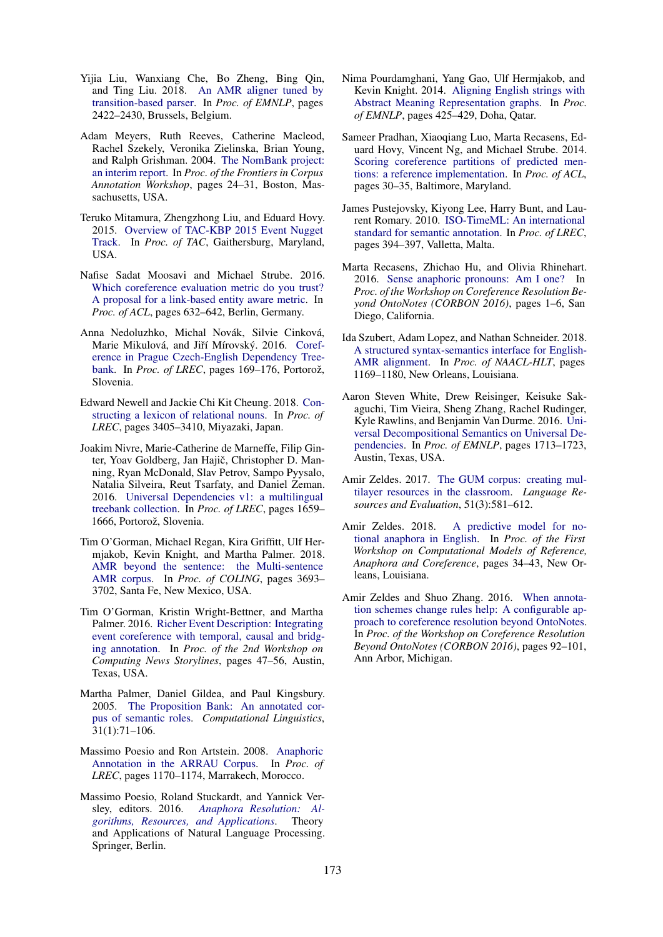- <span id="page-9-11"></span>Yijia Liu, Wanxiang Che, Bo Zheng, Bing Qin, and Ting Liu. 2018. [An AMR aligner tuned by](https://www.aclweb.org/anthology/D18-1264) [transition-based parser.](https://www.aclweb.org/anthology/D18-1264) In *Proc. of EMNLP*, pages 2422–2430, Brussels, Belgium.
- <span id="page-9-14"></span>Adam Meyers, Ruth Reeves, Catherine Macleod, Rachel Szekely, Veronika Zielinska, Brian Young, and Ralph Grishman. 2004. [The NomBank project:](http://www.aclweb.org/anthology/W04-2705) [an interim report.](http://www.aclweb.org/anthology/W04-2705) In *Proc. of the Frontiers in Corpus Annotation Workshop*, pages 24–31, Boston, Massachusetts, USA.
- <span id="page-9-16"></span>Teruko Mitamura, Zhengzhong Liu, and Eduard Hovy. 2015. [Overview of TAC-KBP 2015 Event Nugget](https://tac.nist.gov/publications/2015/additional.papers/TAC2015.KBP_Event_Nugget_overview.proceedings.pdf) [Track.](https://tac.nist.gov/publications/2015/additional.papers/TAC2015.KBP_Event_Nugget_overview.proceedings.pdf) In *Proc. of TAC*, Gaithersburg, Maryland, USA.
- <span id="page-9-2"></span>Nafise Sadat Moosavi and Michael Strube. 2016. [Which coreference evaluation metric do you trust?](https://www.aclweb.org/anthology/P16-1060) [A proposal for a link-based entity aware metric.](https://www.aclweb.org/anthology/P16-1060) In *Proc. of ACL*, pages 632–642, Berlin, Germany.
- <span id="page-9-6"></span>Anna Nedoluzhko, Michal Novák, Silvie Cinková, Marie Mikulová, and Jiří Mírovský. 2016. [Coref](http://www.lrec-conf.org/proceedings/lrec2016/pdf/882_Paper.pdf)[erence in Prague Czech-English Dependency Tree](http://www.lrec-conf.org/proceedings/lrec2016/pdf/882_Paper.pdf)[bank.](http://www.lrec-conf.org/proceedings/lrec2016/pdf/882_Paper.pdf) In *Proc. of LREC*, pages 169–176, Portorož, Slovenia.
- <span id="page-9-13"></span>Edward Newell and Jackie Chi Kit Cheung. 2018. [Con](http://www.lrec-conf.org/proceedings/lrec2018/pdf/461.pdf)[structing a lexicon of relational nouns.](http://www.lrec-conf.org/proceedings/lrec2018/pdf/461.pdf) In *Proc. of LREC*, pages 3405–3410, Miyazaki, Japan.
- <span id="page-9-8"></span>Joakim Nivre, Marie-Catherine de Marneffe, Filip Ginter, Yoav Goldberg, Jan Hajič, Christopher D. Manning, Ryan McDonald, Slav Petrov, Sampo Pyysalo, Natalia Silveira, Reut Tsarfaty, and Daniel Zeman. 2016. [Universal Dependencies v1: a multilingual](http://www.lrec-conf.org/proceedings/lrec2016/pdf/348_Paper.pdf) [treebank collection.](http://www.lrec-conf.org/proceedings/lrec2016/pdf/348_Paper.pdf) In *Proc. of LREC*, pages 1659– 1666, Portorož, Slovenia.
- <span id="page-9-12"></span>Tim O'Gorman, Michael Regan, Kira Griffitt, Ulf Hermjakob, Kevin Knight, and Martha Palmer. 2018. [AMR beyond the sentence: the Multi-sentence](http://aclweb.org/anthology/C18-1313) [AMR corpus.](http://aclweb.org/anthology/C18-1313) In *Proc. of COLING*, pages 3693– 3702, Santa Fe, New Mexico, USA.
- <span id="page-9-5"></span>Tim O'Gorman, Kristin Wright-Bettner, and Martha Palmer. 2016. [Richer Event Description: Integrating](http://aclweb.org/anthology/W16-5706) [event coreference with temporal, causal and bridg](http://aclweb.org/anthology/W16-5706)[ing annotation.](http://aclweb.org/anthology/W16-5706) In *Proc. of the 2nd Workshop on Computing News Storylines*, pages 47–56, Austin, Texas, USA.
- <span id="page-9-3"></span>Martha Palmer, Daniel Gildea, and Paul Kingsbury. 2005. [The Proposition Bank: An annotated cor](http://dx.doi.org/10.1162/0891201053630264)[pus of semantic roles.](http://dx.doi.org/10.1162/0891201053630264) *Computational Linguistics*, 31(1):71–106.
- <span id="page-9-17"></span>Massimo Poesio and Ron Artstein. 2008. [Anaphoric](http://www.lrec-conf.org/proceedings/lrec2008/pdf/297_paper.pdf) [Annotation in the ARRAU Corpus.](http://www.lrec-conf.org/proceedings/lrec2008/pdf/297_paper.pdf) In *Proc. of LREC*, pages 1170–1174, Marrakech, Morocco.
- <span id="page-9-0"></span>Massimo Poesio, Roland Stuckardt, and Yannick Versley, editors. 2016. *[Anaphora Resolution: Al](http://link.springer.com/10.1007/978-3-662-47909-4)[gorithms, Resources, and Applications](http://link.springer.com/10.1007/978-3-662-47909-4)*. Theory and Applications of Natural Language Processing. Springer, Berlin.
- <span id="page-9-9"></span>Nima Pourdamghani, Yang Gao, Ulf Hermjakob, and Kevin Knight. 2014. [Aligning English strings with](http://www.aclweb.org/anthology/D14-1048) [Abstract Meaning Representation graphs.](http://www.aclweb.org/anthology/D14-1048) In *Proc. of EMNLP*, pages 425–429, Doha, Qatar.
- <span id="page-9-1"></span>Sameer Pradhan, Xiaoqiang Luo, Marta Recasens, Eduard Hovy, Vincent Ng, and Michael Strube. 2014. [Scoring coreference partitions of predicted men](https://www.aclweb.org/anthology/P14-2006)[tions: a reference implementation.](https://www.aclweb.org/anthology/P14-2006) In *Proc. of ACL*, pages 30–35, Baltimore, Maryland.
- <span id="page-9-15"></span>James Pustejovsky, Kiyong Lee, Harry Bunt, and Laurent Romary. 2010. [ISO-TimeML: An international](http://www.lrec-conf.org/proceedings/lrec2010/pdf/55_Paper.pdf) [standard for semantic annotation.](http://www.lrec-conf.org/proceedings/lrec2010/pdf/55_Paper.pdf) In *Proc. of LREC*, pages 394–397, Valletta, Malta.
- <span id="page-9-20"></span>Marta Recasens, Zhichao Hu, and Olivia Rhinehart. 2016. [Sense anaphoric pronouns: Am I one?](https://www.aclweb.org/anthology/W16-0701) In *Proc. of the Workshop on Coreference Resolution Beyond OntoNotes (CORBON 2016)*, pages 1–6, San Diego, California.
- <span id="page-9-10"></span>Ida Szubert, Adam Lopez, and Nathan Schneider. 2018. [A structured syntax-semantics interface for English-](http://aclweb.org/anthology/N18-1106)[AMR alignment.](http://aclweb.org/anthology/N18-1106) In *Proc. of NAACL-HLT*, pages 1169–1180, New Orleans, Louisiana.
- <span id="page-9-7"></span>Aaron Steven White, Drew Reisinger, Keisuke Sakaguchi, Tim Vieira, Sheng Zhang, Rachel Rudinger, Kyle Rawlins, and Benjamin Van Durme. 2016. [Uni](https://aclweb.org/anthology/D16-1177)[versal Decompositional Semantics on Universal De](https://aclweb.org/anthology/D16-1177)[pendencies.](https://aclweb.org/anthology/D16-1177) In *Proc. of EMNLP*, pages 1713–1723, Austin, Texas, USA.
- <span id="page-9-4"></span>Amir Zeldes. 2017. [The GUM corpus: creating mul](https://link.springer.com/article/10.1007/s10579-016-9343-x)[tilayer resources in the classroom.](https://link.springer.com/article/10.1007/s10579-016-9343-x) *Language Resources and Evaluation*, 51(3):581–612.
- <span id="page-9-19"></span>Amir Zeldes. 2018. [A predictive model for no](https://www.aclweb.org/anthology/W18-0704)[tional anaphora in English.](https://www.aclweb.org/anthology/W18-0704) In *Proc. of the First Workshop on Computational Models of Reference, Anaphora and Coreference*, pages 34–43, New Orleans, Louisiana.
- <span id="page-9-18"></span>Amir Zeldes and Shuo Zhang. 2016. [When annota](https://www.aclweb.org/anthology/W16-0713)[tion schemes change rules help: A configurable ap](https://www.aclweb.org/anthology/W16-0713)[proach to coreference resolution beyond OntoNotes.](https://www.aclweb.org/anthology/W16-0713) In *Proc. of the Workshop on Coreference Resolution Beyond OntoNotes (CORBON 2016)*, pages 92–101, Ann Arbor, Michigan.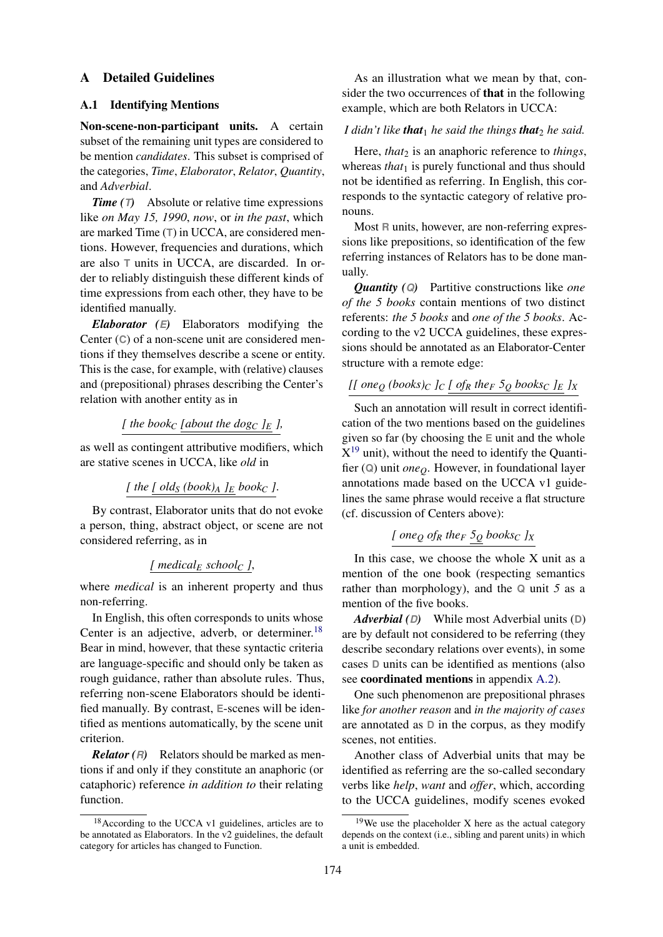### <span id="page-10-0"></span>A Detailed Guidelines

# A.1 Identifying Mentions

Non-scene-non-participant units. A certain subset of the remaining unit types are considered to be mention *candidates*. This subset is comprised of the categories, *Time*, *Elaborator*, *Relator*, *Quantity*, and *Adverbial*.

*Time (T)* Absolute or relative time expressions like *on May 15, 1990*, *now*, or *in the past*, which are marked Time (**T**) in UCCA, are considered mentions. However, frequencies and durations, which are also **T** units in UCCA, are discarded. In order to reliably distinguish these different kinds of time expressions from each other, they have to be identified manually.

*Elaborator (E)* Elaborators modifying the Center (**C**) of a non-scene unit are considered mentions if they themselves describe a scene or entity. This is the case, for example, with (relative) clauses and (prepositional) phrases describing the Center's relation with another entity as in

[ the book<sub>C</sub> [about the dog<sub>C</sub> 
$$
]_E
$$
],

as well as contingent attributive modifiers, which are stative scenes in UCCA, like *old* in

[ the 
$$
[old_S (book)_A]_E
$$
 book<sub>C</sub>].

By contrast, Elaborator units that do not evoke a person, thing, abstract object, or scene are not considered referring, as in

# *[ medical<sup>E</sup> school<sup>C</sup> ]*,

where *medical* is an inherent property and thus non-referring.

In English, this often corresponds to units whose Center is an adjective, adverb, or determiner.<sup>[18](#page-0-1)</sup> Bear in mind, however, that these syntactic criteria are language-specific and should only be taken as rough guidance, rather than absolute rules. Thus, referring non-scene Elaborators should be identified manually. By contrast, **E**-scenes will be identified as mentions automatically, by the scene unit criterion.

*Relator (R)* Relators should be marked as mentions if and only if they constitute an anaphoric (or cataphoric) reference *in addition to* their relating function.

As an illustration what we mean by that, consider the two occurrences of that in the following example, which are both Relators in UCCA:

#### *I* didn't like **that**<sub>1</sub> he said the things **that**<sub>2</sub> he said.

Here, *that*<sub>2</sub> is an anaphoric reference to *things*, whereas *that*<sub>1</sub> is purely functional and thus should not be identified as referring. In English, this corresponds to the syntactic category of relative pronouns.

Most **R** units, however, are non-referring expressions like prepositions, so identification of the few referring instances of Relators has to be done manually.

*Quantity (Q)* Partitive constructions like *one of the 5 books* contain mentions of two distinct referents: *the 5 books* and *one of the 5 books*. According to the v2 UCCA guidelines, these expressions should be annotated as an Elaborator-Center structure with a remote edge:

# *[[ one<sup>Q</sup> (books)<sup>C</sup> ]<sup>C</sup> [ of<sup>R</sup> the<sup>F</sup> 5<sup>Q</sup> books<sup>C</sup> ]<sup>E</sup> ]<sup>X</sup>*

Such an annotation will result in correct identification of the two mentions based on the guidelines given so far (by choosing the **E** unit and the whole  $X^{19}$  $X^{19}$  $X^{19}$  unit), without the need to identify the Quantifier (**Q**) unit *oneQ*. However, in foundational layer annotations made based on the UCCA v1 guidelines the same phrase would receive a flat structure (cf. discussion of Centers above):

# $[$  *one* $Q$  *of* $R$  *the* $F$   $5Q$  *books* $C$   $JX$

In this case, we choose the whole X unit as a mention of the one book (respecting semantics rather than morphology), and the **Q** unit *5* as a mention of the five books.

*Adverbial (D)* While most Adverbial units (**D**) are by default not considered to be referring (they describe secondary relations over events), in some cases **D** units can be identified as mentions (also see coordinated mentions in appendix [A.2\)](#page-11-0).

One such phenomenon are prepositional phrases like *for another reason* and *in the majority of cases* are annotated as **D** in the corpus, as they modify scenes, not entities.

Another class of Adverbial units that may be identified as referring are the so-called secondary verbs like *help*, *want* and *offer*, which, according to the UCCA guidelines, modify scenes evoked

<sup>18</sup>According to the UCCA v1 guidelines, articles are to be annotated as Elaborators. In the v2 guidelines, the default category for articles has changed to Function.

 $19$ We use the placeholder X here as the actual category depends on the context (i.e., sibling and parent units) in which a unit is embedded.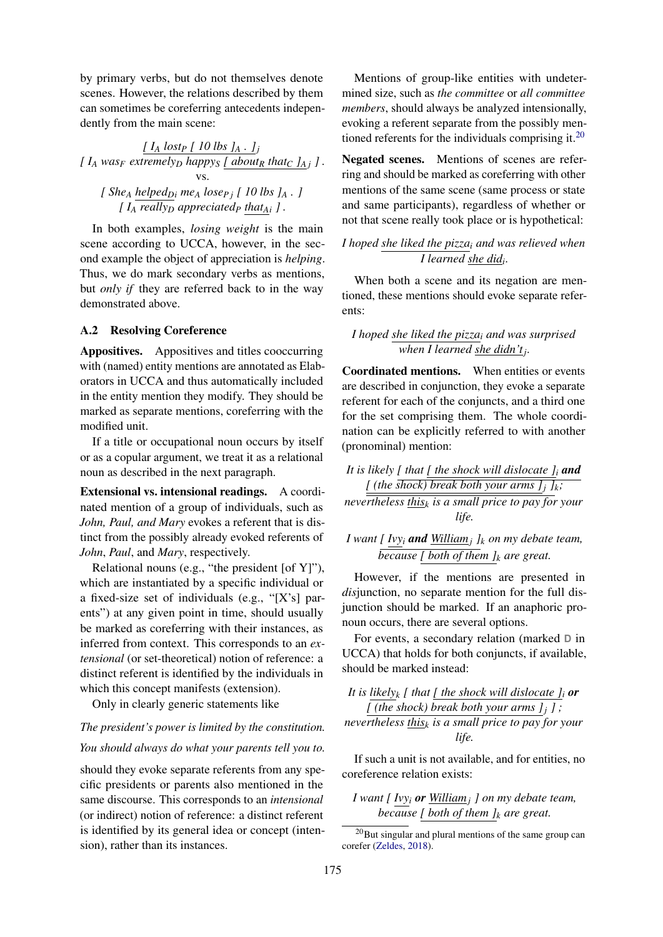by primary verbs, but do not themselves denote scenes. However, the relations described by them can sometimes be coreferring antecedents independently from the main scene:

*[ I<sup>A</sup> lost<sup>P</sup> [ 10 lbs ]<sup>A</sup> . ]<sup>j</sup>*  $[$   $I_A$   $was_F$  *extremely<sub>D</sub>*  $h$ *appy<sub>S</sub>*  $[$   $a$ *bout<sub>R</sub>*  $that_C$   $J_A$ *j*  $]$ . vs. *[ She<sup>A</sup> helpedDi me<sup>A</sup> loseP j [ 10 lbs ]<sup>A</sup> . ] [ I<sup>A</sup> really<sup>D</sup> appreciated<sup>P</sup> thatAi ] .*

In both examples, *losing weight* is the main scene according to UCCA, however, in the second example the object of appreciation is *helping*. Thus, we do mark secondary verbs as mentions, but *only if* they are referred back to in the way demonstrated above.

## <span id="page-11-0"></span>A.2 Resolving Coreference

Appositives. Appositives and titles cooccurring with (named) entity mentions are annotated as Elaborators in UCCA and thus automatically included in the entity mention they modify. They should be marked as separate mentions, coreferring with the modified unit.

If a title or occupational noun occurs by itself or as a copular argument, we treat it as a relational noun as described in the next paragraph.

Extensional vs. intensional readings. A coordinated mention of a group of individuals, such as *John, Paul, and Mary* evokes a referent that is distinct from the possibly already evoked referents of *John*, *Paul*, and *Mary*, respectively.

Relational nouns (e.g., "the president [of Y]"), which are instantiated by a specific individual or a fixed-size set of individuals (e.g., "[X's] parents") at any given point in time, should usually be marked as coreferring with their instances, as inferred from context. This corresponds to an *extensional* (or set-theoretical) notion of reference: a distinct referent is identified by the individuals in which this concept manifests (extension).

Only in clearly generic statements like

# *The president's power is limited by the constitution. You should always do what your parents tell you to.*

should they evoke separate referents from any specific presidents or parents also mentioned in the same discourse. This corresponds to an *intensional* (or indirect) notion of reference: a distinct referent is identified by its general idea or concept (intension), rather than its instances.

Mentions of group-like entities with undetermined size, such as *the committee* or *all committee members*, should always be analyzed intensionally, evoking a referent separate from the possibly men-tioned referents for the individuals comprising it.<sup>[20](#page-0-1)</sup>

Negated scenes. Mentions of scenes are referring and should be marked as coreferring with other mentions of the same scene (same process or state and same participants), regardless of whether or not that scene really took place or is hypothetical:

# *I hoped she liked the pizza<sup>i</sup> and was relieved when I learned she did<sup>i</sup> .*

When both a scene and its negation are mentioned, these mentions should evoke separate referents:

*I hoped she liked the pizza<sup>i</sup> and was surprised when I learned she didn't<sup>j</sup> .*

Coordinated mentions. When entities or events are described in conjunction, they evoke a separate referent for each of the conjuncts, and a third one for the set comprising them. The whole coordination can be explicitly referred to with another (pronominal) mention:

*It is likely [ that [ the shock will dislocate ]<sup>i</sup> and [* (the shock) break both your arms  $j_i$   $j_k$ ;

*nevertheless this<sup>k</sup> is a small price to pay for your life.*

*I want [ Ivy<sup>i</sup> and William<sup>j</sup> ]<sup>k</sup> on my debate team, because [ both of them ]<sup>k</sup> are great.*

However, if the mentions are presented in *dis*junction, no separate mention for the full disjunction should be marked. If an anaphoric pronoun occurs, there are several options.

For events, a secondary relation (marked **D** in UCCA) that holds for both conjuncts, if available, should be marked instead:

*It is likely<sub>k</sub> [ that [ the shock will dislocate*  $\int_i$  *or [* (the shock) break both your arms  $j_j$  *]*; *nevertheless this<sup>k</sup> is a small price to pay for your life.*

If such a unit is not available, and for entities, no coreference relation exists:

*I want [ Ivy<sup>i</sup> or William<sup>j</sup> ] on my debate team, because [ both of them ]<sup>k</sup> are great.*

 $^{20}$ But singular and plural mentions of the same group can corefer [\(Zeldes,](#page-9-19) [2018\)](#page-9-19).